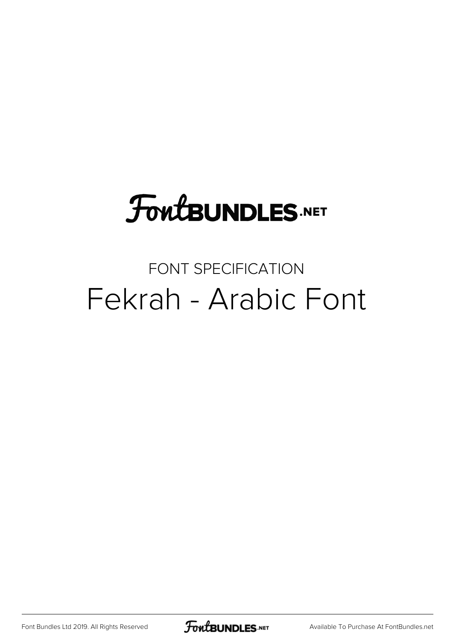## **FoutBUNDLES.NET**

### FONT SPECIFICATION Fekrah - Arabic Font

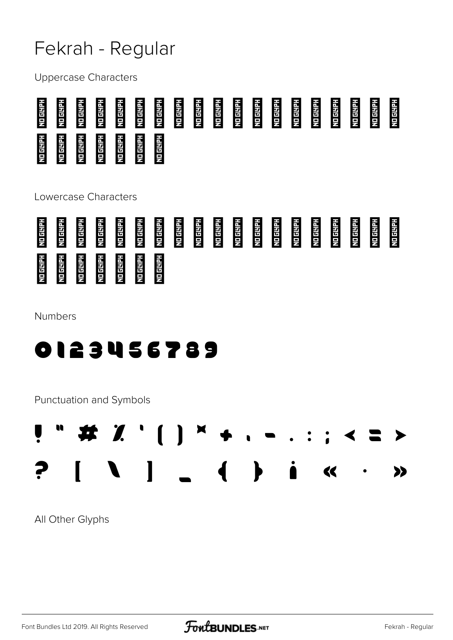#### Fekrah - Regular

**Uppercase Characters** 



Lowercase Characters



**Numbers** 



Punctuation and Symbols



All Other Glyphs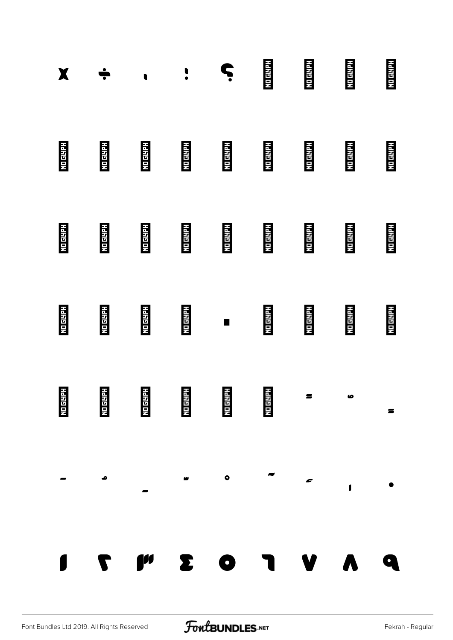| X               |                 | $\bullet$                                            | $\cdot$         | Ċ               | <b>NO GLYPH</b> | <b>NEIGHTH</b>                | <b>NO GEHFH</b> | <b>NO GLYPH</b> |
|-----------------|-----------------|------------------------------------------------------|-----------------|-----------------|-----------------|-------------------------------|-----------------|-----------------|
| <b>ND GEHPH</b> | <b>NO GLYPH</b> | <b>NO GEHRH</b>                                      | <b>ND GEHEL</b> | <b>NO GLYPH</b> | <b>NO GLYPH</b> | <b>NO GEIRY</b>               | <b>NO GERRY</b> | <b>NO GLYPH</b> |
| <b>NO GLYPH</b> | <b>NO GESPH</b> | <b>NO GLYPH</b>                                      | <b>NO GLYPE</b> | <b>NO GLYPH</b> | <b>NO GLYPE</b> | <b>NO GLYPH</b>               | <b>NO GLYPH</b> | <b>NO GLYPH</b> |
| <b>NO GETAR</b> | <b>NEIGHTH</b>  | <b>NEIGHTH</b>                                       | <b>No GLYPE</b> | $\blacksquare$  | <b>NO GLYPH</b> | <b>Notering</b>               | <b>No ENDER</b> | <b>NO GLYPH</b> |
|                 |                 | NO GUARH<br>No Guarh<br>No Guarh No Guarh No Guarh I |                 |                 |                 | $\overline{z}$ $\overline{z}$ |                 | $\blacksquare$  |
|                 | $\bullet$       |                                                      |                 |                 |                 |                               |                 |                 |
|                 |                 | T M E O J V V                                        |                 |                 |                 |                               |                 |                 |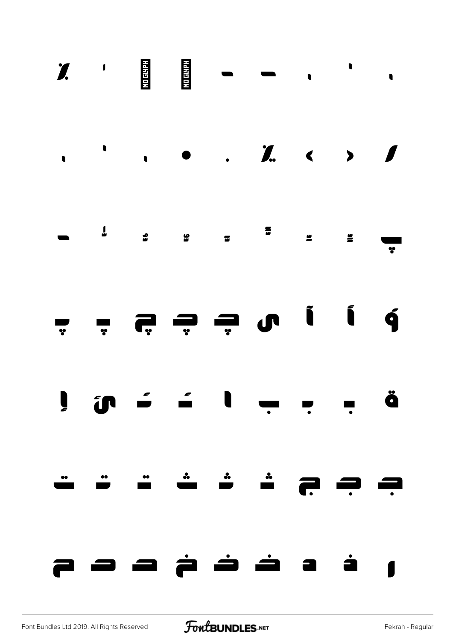|  |  | $\frac{1}{2}$ , , , , , , , , , , , , |  |  |
|--|--|---------------------------------------|--|--|
|  |  |                                       |  |  |
|  |  |                                       |  |  |
|  |  |                                       |  |  |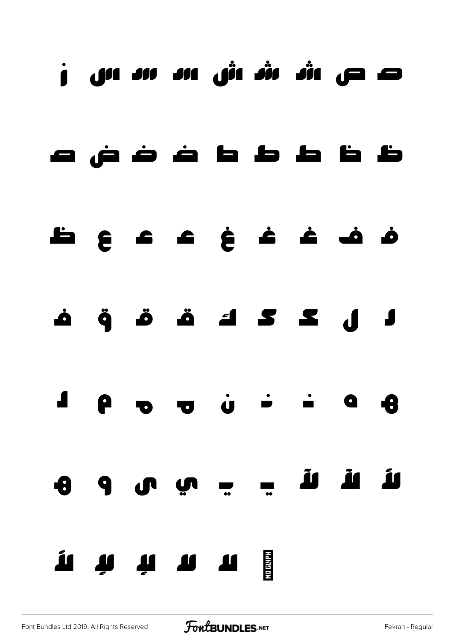### ص ص ش ش ش س س س ز



## ف ف غ غ غ ع ع ع ظ







# لأ لآ لآ ي ي ي ى و ه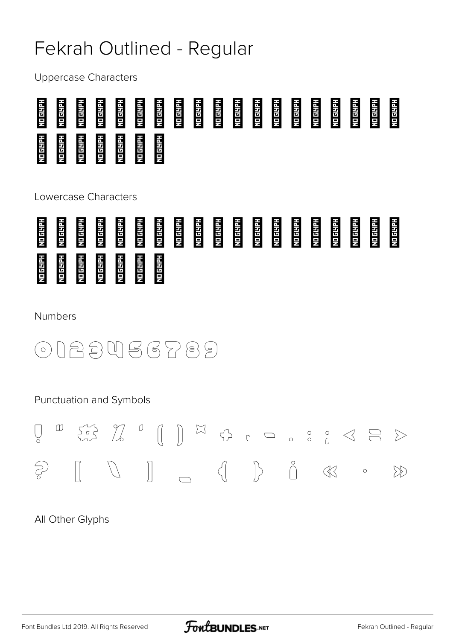#### Fekrah Outlined - Regular

**Uppercase Characters** 



Lowercase Characters



**Numbers** 

023456789  $(\circ)$ 

Punctuation and Symbols



All Other Glyphs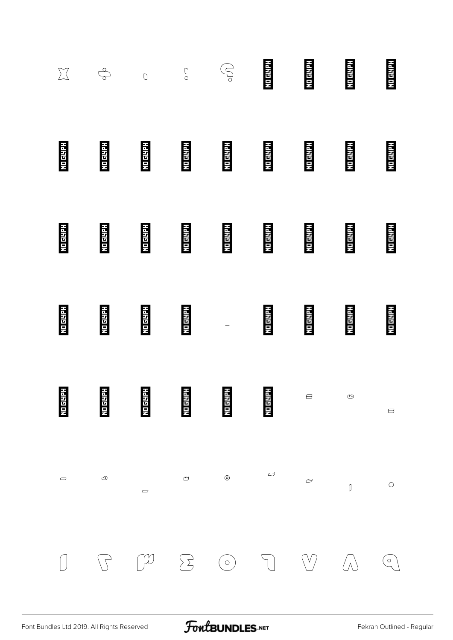| $\sum$          | $\oint$          | $\overline{O}$                | $\bigcirc$        | S,                | <b>NO GLYPH</b> | <b>NDESER</b>                          | <b>NO GLYPH</b> | <b>NO GLYPH</b>                                                         |
|-----------------|------------------|-------------------------------|-------------------|-------------------|-----------------|----------------------------------------|-----------------|-------------------------------------------------------------------------|
| <b>NO GEHPH</b> | <b>NETERETTI</b> | <b>NO GLYPH</b>               | <b>MO 644.84</b>  | <b>MODELLE</b>    | <b>NO GIVEN</b> | <b>ND 64471</b>                        | <b>HEISTER</b>  | <b>HEIRIEIN</b>                                                         |
| <b>NDEEDER</b>  | <b>NO GLYPH</b>  | <b>HEIRIELN</b>               | <b>NO 65170</b>   | <b>Models</b>     | <b>NO GLYPH</b> | <b>NO GETER</b>                        | <b>NO GLYPH</b> | <b>NO GLYPH</b>                                                         |
| <b>No ENFER</b> | <b>No ENTER</b>  | <b>NO GLYPE</b>               | <b>No details</b> | $\frac{1}{\pi}$ . | <b>NO GETER</b> | <b>No ENTER</b>                        | <b>NETRITIC</b> | <b>NETHELH</b>                                                          |
| <b>NO GETPH</b> | <b>NO GLYPH</b>  | <b>NO GLYPH</b>               | <b>NDEPTER</b>    | <b>NO GETER</b>   | <b>NO GLYPH</b> | $\ominus$                              | ≌               | $\qquad \qquad \qquad \qquad \qquad \qquad \qquad \qquad \qquad \qquad$ |
| $\Rightarrow$   | $\odot$          | $\qquad \qquad \qquad \qquad$ | $\infty$          | $_{\odot}$        | $\varphi$       | $\varpi$                               | $\textbf{0}$    | $\bigcirc$                                                              |
|                 |                  | $\int$                        | $\sum$            | $\bigodot$        | $\bigcap$       | $\left\langle \mathbf{V}\right\rangle$ | $/ \wedge$      | $\left(\begin{smallmatrix} 0\ 1\end{smallmatrix}\right)$                |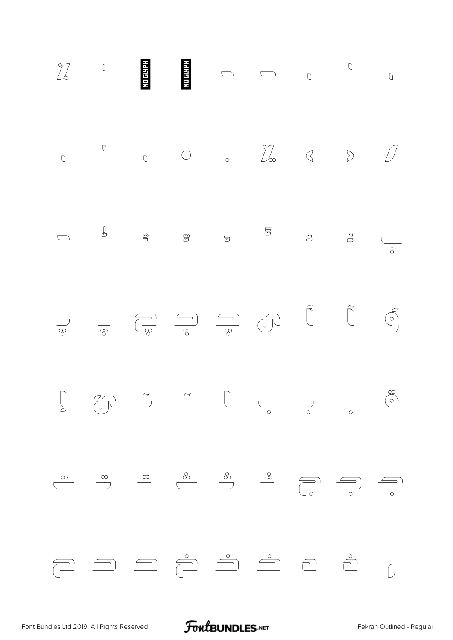| $\begin{array}{c}\n0\n\end{array}$ | $\bigcirc$ |  |  | $\begin{array}{ccc} \circ & \circ & \circ & \mathbb{Z} \circ & \circ & \mathbb{Z} \end{array}$                                                                                                                                                                                                                                                                                                                                     |  |
|------------------------------------|------------|--|--|------------------------------------------------------------------------------------------------------------------------------------------------------------------------------------------------------------------------------------------------------------------------------------------------------------------------------------------------------------------------------------------------------------------------------------|--|
|                                    |            |  |  |                                                                                                                                                                                                                                                                                                                                                                                                                                    |  |
| $\frac{1}{\sqrt{2}}$               |            |  |  | $\frac{1}{\sqrt{\frac{1}{\sqrt{1+\frac{1}{\sqrt{1+\frac{1}{\sqrt{1+\frac{1}{\sqrt{1+\frac{1}{\sqrt{1+\frac{1}{\sqrt{1+\frac{1}{\sqrt{1+\frac{1}{\sqrt{1+\frac{1}{\sqrt{1+\frac{1}{\sqrt{1+\frac{1}{\sqrt{1+\frac{1}{\sqrt{1+\frac{1}{\sqrt{1+\frac{1}{\sqrt{1+\frac{1}{\sqrt{1+\frac{1}{\sqrt{1+\frac{1}{\sqrt{1+\frac{1}{\sqrt{1+\frac{1}{\sqrt{1+\frac{1}{\sqrt{1+\frac{1}{\sqrt{1+\frac{1}{\sqrt{1+\frac{1}{\sqrt{1+\frac{1}{\$ |  |
|                                    |            |  |  |                                                                                                                                                                                                                                                                                                                                                                                                                                    |  |
|                                    |            |  |  |                                                                                                                                                                                                                                                                                                                                                                                                                                    |  |
|                                    |            |  |  |                                                                                                                                                                                                                                                                                                                                                                                                                                    |  |

[Font Bundles Ltd 2019. All Rights Reserved](https://fontbundles.net/) **FoutBUNDLES.NET** [Fekrah Outlined - Regular](https://fontbundles.net/)